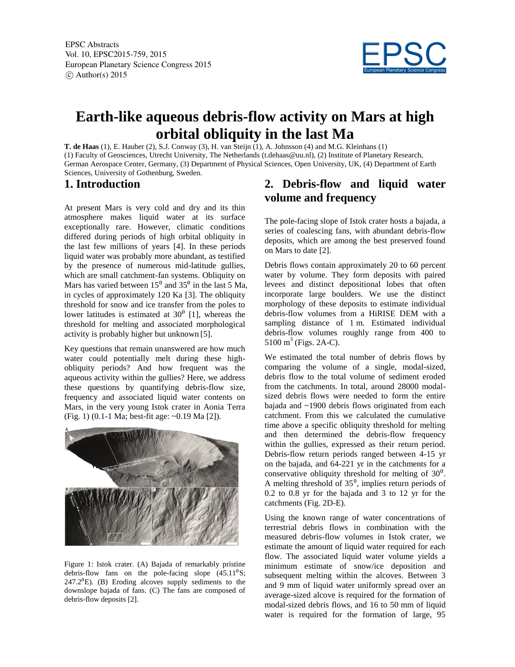EPSC Abstracts Vol. 10, EPSC2015-759, 2015 European Planetary Science Congress 2015  $\circ$  Author(s) 2015



# **Earth-like aqueous debris-flow activity on Mars at high orbital obliquity in the last Ma**

**T. de Haas** (1), E. Hauber (2), S.J. Conway (3), H. van Steijn (1), A. Johnsson (4) and M.G. Kleinhans (1) (1) Faculty of Geosciences, Utrecht University, The Netherlands (t.dehaas@uu.nl), (2) Institute of Planetary Research, German Aerospace Center, Germany, (3) Department of Physical Sciences, Open University, UK, (4) Department of Earth Sciences, University of Gothenburg, Sweden.

## **1. Introduction**

At present Mars is very cold and dry and its thin atmosphere makes liquid water at its surface exceptionally rare. However, climatic conditions differed during periods of high orbital obliquity in the last few millions of years [4]. In these periods liquid water was probably more abundant, as testified by the presence of numerous mid-latitude gullies, which are small catchment-fan systems. Obliquity on Mars has varied between  $15^{\circ}$  and  $35^{\circ}$  in the last 5 Ma, in cycles of approximately 120 Ka [3]. The obliquity threshold for snow and ice transfer from the poles to lower latitudes is estimated at  $30<sup>0</sup>$  [1], whereas the threshold for melting and associated morphological activity is probably higher but unknown [5].

Key questions that remain unanswered are how much water could potentially melt during these highobliquity periods? And how frequent was the aqueous activity within the gullies? Here, we address these questions by quantifying debris-flow size, frequency and associated liquid water contents on Mars, in the very young Istok crater in Aonia Terra (Fig. 1) (0.1-1 Ma; best-fit age: ~0.19 Ma [2]).



Figure 1: Istok crater. (A) Bajada of remarkably pristine debris-flow fans on the pole-facing slope  $(45.11<sup>0</sup>S)$ ;  $247.2^{\circ}$ E). (B) Eroding alcoves supply sediments to the downslope bajada of fans. (C) The fans are composed of debris-flow deposits [2].

## **2. Debris-flow and liquid water volume and frequency**

The pole-facing slope of Istok crater hosts a bajada, a series of coalescing fans, with abundant debris-flow deposits, which are among the best preserved found on Mars to date [2].

Debris flows contain approximately 20 to 60 percent water by volume. They form deposits with paired levees and distinct depositional lobes that often incorporate large boulders. We use the distinct morphology of these deposits to estimate individual debris-flow volumes from a HiRISE DEM with a sampling distance of 1 m. Estimated individual debris-flow volumes roughly range from 400 to  $5100 \text{ m}^3$  (Figs. 2A-C).

We estimated the total number of debris flows by comparing the volume of a single, modal-sized, debris flow to the total volume of sediment eroded from the catchments. In total, around 28000 modalsized debris flows were needed to form the entire bajada and ~1900 debris flows originated from each catchment. From this we calculated the cumulative time above a specific obliquity threshold for melting and then determined the debris-flow frequency within the gullies, expressed as their return period. Debris-flow return periods ranged between 4-15 yr on the bajada, and 64-221 yr in the catchments for a conservative obliquity threshold for melting of  $30^0$ . A melting threshold of  $35^\circ$ , implies return periods of 0.2 to 0.8 yr for the bajada and 3 to 12 yr for the catchments (Fig. 2D-E).

Using the known range of water concentrations of terrestrial debris flows in combination with the measured debris-flow volumes in Istok crater, we estimate the amount of liquid water required for each flow. The associated liquid water volume yields a minimum estimate of snow/ice deposition and subsequent melting within the alcoves. Between 3 and 9 mm of liquid water uniformly spread over an average-sized alcove is required for the formation of modal-sized debris flows, and 16 to 50 mm of liquid water is required for the formation of large, 95